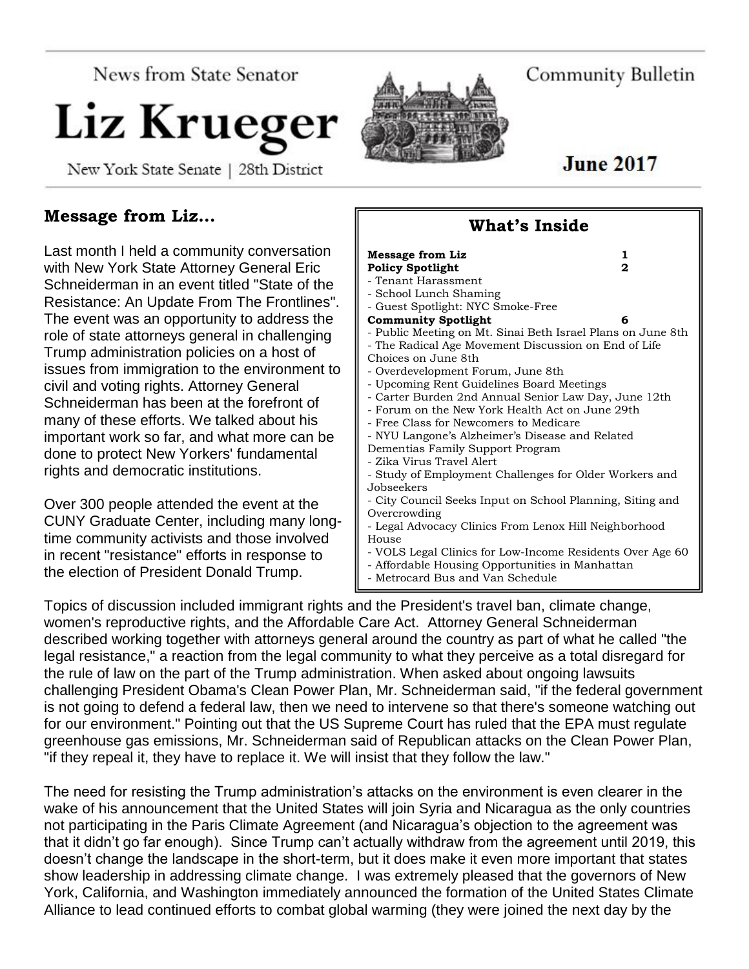News from State Senator

# Liz Krueger

New York State Senate | 28th District



Community Bulletin

# **June 2017**

# **Message from Liz…**

Last month I held a community conversation with New York State Attorney General Eric Schneiderman in an event titled "State of the Resistance: An Update From The Frontlines". The event was an opportunity to address the role of state attorneys general in challenging Trump administration policies on a host of issues from immigration to the environment to civil and voting rights. Attorney General Schneiderman has been at the forefront of many of these efforts. We talked about his important work so far, and what more can be done to protect New Yorkers' fundamental rights and democratic institutions.

Over 300 people attended the event at the CUNY Graduate Center, including many longtime community activists and those involved in recent "resistance" efforts in response to the election of President Donald Trump.

#### **What's Inside Message from Liz** 1 Policy Spotlight 2 - Tenant Harassment - School Lunch Shaming - Guest Spotlight: NYC Smoke-Free **Community Spotlight 6** - Public Meeting on Mt. Sinai Beth Israel Plans on June 8th - The Radical Age Movement Discussion on End of Life Choices on June 8th - Overdevelopment Forum, June 8th - Upcoming Rent Guidelines Board Meetings - Carter Burden 2nd Annual Senior Law Day, June 12th - Forum on the New York Health Act on June 29th - Free Class for Newcomers to Medicare - NYU Langone's Alzheimer's Disease and Related Dementias Family Support Program - Zika Virus Travel Alert - Study of Employment Challenges for Older Workers and Jobseekers - City Council Seeks Input on School Planning, Siting and Overcrowding - Legal Advocacy Clinics From Lenox Hill Neighborhood House - VOLS Legal Clinics for Low-Income Residents Over Age 60 - Affordable Housing Opportunities in Manhattan - Metrocard Bus and Van Schedule

Topics of discussion included immigrant rights and the President's travel ban, climate change, women's reproductive rights, and the Affordable Care Act. Attorney General Schneiderman described working together with attorneys general around the country as part of what he called "the legal resistance," a reaction from the legal community to what they perceive as a total disregard for the rule of law on the part of the Trump administration. When asked about ongoing lawsuits challenging President Obama's Clean Power Plan, Mr. Schneiderman said, "if the federal government is not going to defend a federal law, then we need to intervene so that there's someone watching out for our environment." Pointing out that the US Supreme Court has ruled that the EPA must regulate greenhouse gas emissions, Mr. Schneiderman said of Republican attacks on the Clean Power Plan, "if they repeal it, they have to replace it. We will insist that they follow the law."

The need for resisting the Trump administration's attacks on the environment is even clearer in the wake of his announcement that the United States will join Syria and Nicaragua as the only countries not participating in the Paris Climate Agreement (and Nicaragua's objection to the agreement was that it didn't go far enough). Since Trump can't actually withdraw from the agreement until 2019, this doesn't change the landscape in the short-term, but it does make it even more important that states show leadership in addressing climate change. I was extremely pleased that the governors of New York, California, and Washington immediately announced the formation of the United States Climate Alliance to lead continued efforts to combat global warming (they were joined the next day by the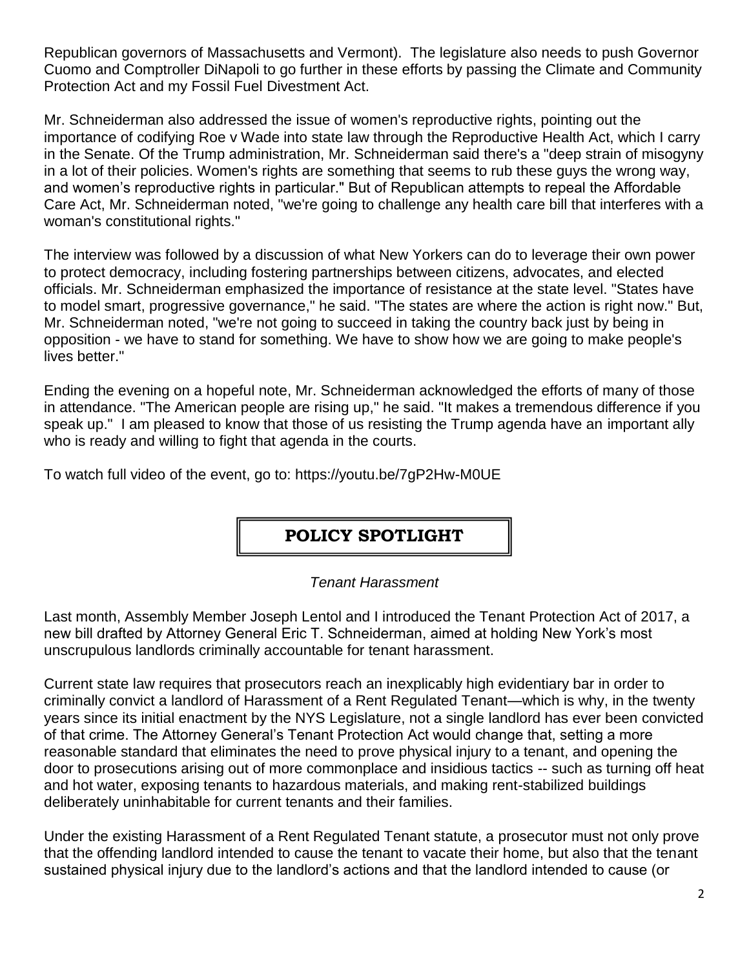Republican governors of Massachusetts and Vermont). The legislature also needs to push Governor Cuomo and Comptroller DiNapoli to go further in these efforts by passing the Climate and Community Protection Act and my Fossil Fuel Divestment Act.

Mr. Schneiderman also addressed the issue of women's reproductive rights, pointing out the importance of codifying Roe v Wade into state law through the Reproductive Health Act, which I carry in the Senate. Of the Trump administration, Mr. Schneiderman said there's a "deep strain of misogyny in a lot of their policies. Women's rights are something that seems to rub these guys the wrong way, and women's reproductive rights in particular." But of Republican attempts to repeal the Affordable Care Act, Mr. Schneiderman noted, "we're going to challenge any health care bill that interferes with a woman's constitutional rights."

The interview was followed by a discussion of what New Yorkers can do to leverage their own power to protect democracy, including fostering partnerships between citizens, advocates, and elected officials. Mr. Schneiderman emphasized the importance of resistance at the state level. "States have to model smart, progressive governance," he said. "The states are where the action is right now." But, Mr. Schneiderman noted, "we're not going to succeed in taking the country back just by being in opposition - we have to stand for something. We have to show how we are going to make people's lives better."

Ending the evening on a hopeful note, Mr. Schneiderman acknowledged the efforts of many of those in attendance. "The American people are rising up," he said. "It makes a tremendous difference if you speak up." I am pleased to know that those of us resisting the Trump agenda have an important ally who is ready and willing to fight that agenda in the courts.

To watch full video of the event, go to: https://youtu.be/7gP2Hw-M0UE

# **POLICY SPOTLIGHT**

# *Tenant Harassment*

Last month, Assembly Member Joseph Lentol and I introduced the Tenant Protection Act of 2017, a new bill drafted by Attorney General Eric T. Schneiderman, aimed at holding New York's most unscrupulous landlords criminally accountable for tenant harassment.

Current state law requires that prosecutors reach an inexplicably high evidentiary bar in order to criminally convict a landlord of Harassment of a Rent Regulated Tenant—which is why, in the twenty years since its initial enactment by the NYS Legislature, not a single landlord has ever been convicted of that crime. The Attorney General's Tenant Protection Act would change that, setting a more reasonable standard that eliminates the need to prove physical injury to a tenant, and opening the door to prosecutions arising out of more commonplace and insidious tactics -- such as turning off heat and hot water, exposing tenants to hazardous materials, and making rent-stabilized buildings deliberately uninhabitable for current tenants and their families.

Under the existing Harassment of a Rent Regulated Tenant statute, a prosecutor must not only prove that the offending landlord intended to cause the tenant to vacate their home, but also that the tenant sustained physical injury due to the landlord's actions and that the landlord intended to cause (or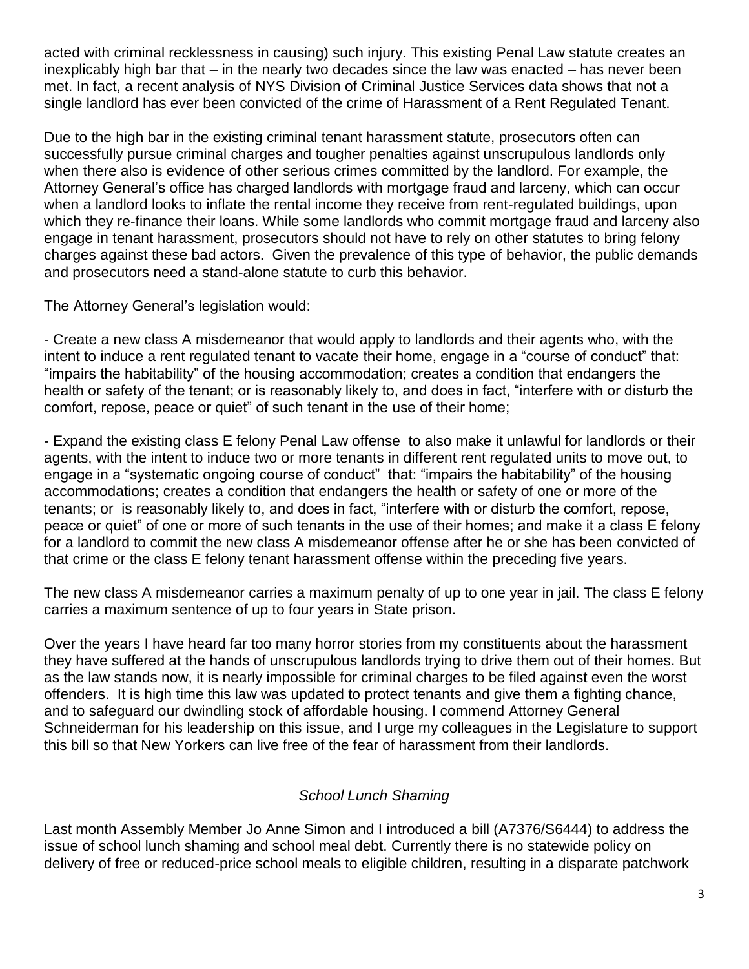acted with criminal recklessness in causing) such injury. This existing Penal Law statute creates an inexplicably high bar that – in the nearly two decades since the law was enacted – has never been met. In fact, a recent analysis of NYS Division of Criminal Justice Services data shows that not a single landlord has ever been convicted of the crime of Harassment of a Rent Regulated Tenant.

Due to the high bar in the existing criminal tenant harassment statute, prosecutors often can successfully pursue criminal charges and tougher penalties against unscrupulous landlords only when there also is evidence of other serious crimes committed by the landlord. For example, the Attorney General's office has charged landlords with mortgage fraud and larceny, which can occur when a landlord looks to inflate the rental income they receive from rent-regulated buildings, upon which they re-finance their loans. While some landlords who commit mortgage fraud and larceny also engage in tenant harassment, prosecutors should not have to rely on other statutes to bring felony charges against these bad actors. Given the prevalence of this type of behavior, the public demands and prosecutors need a stand-alone statute to curb this behavior.

The Attorney General's legislation would:

- Create a new class A misdemeanor that would apply to landlords and their agents who, with the intent to induce a rent regulated tenant to vacate their home, engage in a "course of conduct" that: "impairs the habitability" of the housing accommodation; creates a condition that endangers the health or safety of the tenant; or is reasonably likely to, and does in fact, "interfere with or disturb the comfort, repose, peace or quiet" of such tenant in the use of their home;

- Expand the existing class E felony Penal Law offense to also make it unlawful for landlords or their agents, with the intent to induce two or more tenants in different rent regulated units to move out, to engage in a "systematic ongoing course of conduct" that: "impairs the habitability" of the housing accommodations; creates a condition that endangers the health or safety of one or more of the tenants; or is reasonably likely to, and does in fact, "interfere with or disturb the comfort, repose, peace or quiet" of one or more of such tenants in the use of their homes; and make it a class E felony for a landlord to commit the new class A misdemeanor offense after he or she has been convicted of that crime or the class E felony tenant harassment offense within the preceding five years.

The new class A misdemeanor carries a maximum penalty of up to one year in jail. The class E felony carries a maximum sentence of up to four years in State prison.

Over the years I have heard far too many horror stories from my constituents about the harassment they have suffered at the hands of unscrupulous landlords trying to drive them out of their homes. But as the law stands now, it is nearly impossible for criminal charges to be filed against even the worst offenders. It is high time this law was updated to protect tenants and give them a fighting chance, and to safeguard our dwindling stock of affordable housing. I commend Attorney General Schneiderman for his leadership on this issue, and I urge my colleagues in the Legislature to support this bill so that New Yorkers can live free of the fear of harassment from their landlords.

# *School Lunch Shaming*

Last month Assembly Member Jo Anne Simon and I introduced a bill (A7376/S6444) to address the issue of school lunch shaming and school meal debt. Currently there is no statewide policy on delivery of free or reduced-price school meals to eligible children, resulting in a disparate patchwork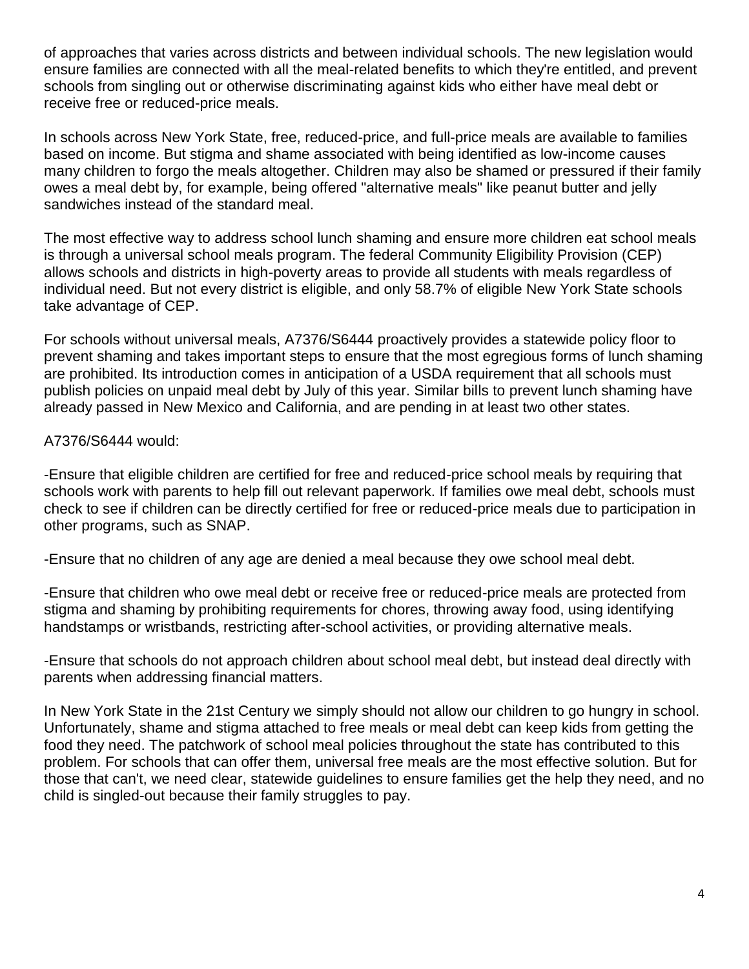of approaches that varies across districts and between individual schools. The new legislation would ensure families are connected with all the meal-related benefits to which they're entitled, and prevent schools from singling out or otherwise discriminating against kids who either have meal debt or receive free or reduced-price meals.

In schools across New York State, free, reduced-price, and full-price meals are available to families based on income. But stigma and shame associated with being identified as low-income causes many children to forgo the meals altogether. Children may also be shamed or pressured if their family owes a meal debt by, for example, being offered "alternative meals" like peanut butter and jelly sandwiches instead of the standard meal.

The most effective way to address school lunch shaming and ensure more children eat school meals is through a universal school meals program. The federal Community Eligibility Provision (CEP) allows schools and districts in high-poverty areas to provide all students with meals regardless of individual need. But not every district is eligible, and only 58.7% of eligible New York State schools take advantage of CEP.

For schools without universal meals, A7376/S6444 proactively provides a statewide policy floor to prevent shaming and takes important steps to ensure that the most egregious forms of lunch shaming are prohibited. Its introduction comes in anticipation of a USDA requirement that all schools must publish policies on unpaid meal debt by July of this year. Similar bills to prevent lunch shaming have already passed in New Mexico and California, and are pending in at least two other states.

#### A7376/S6444 would:

-Ensure that eligible children are certified for free and reduced-price school meals by requiring that schools work with parents to help fill out relevant paperwork. If families owe meal debt, schools must check to see if children can be directly certified for free or reduced-price meals due to participation in other programs, such as SNAP.

-Ensure that no children of any age are denied a meal because they owe school meal debt.

-Ensure that children who owe meal debt or receive free or reduced-price meals are protected from stigma and shaming by prohibiting requirements for chores, throwing away food, using identifying handstamps or wristbands, restricting after-school activities, or providing alternative meals.

-Ensure that schools do not approach children about school meal debt, but instead deal directly with parents when addressing financial matters.

In New York State in the 21st Century we simply should not allow our children to go hungry in school. Unfortunately, shame and stigma attached to free meals or meal debt can keep kids from getting the food they need. The patchwork of school meal policies throughout the state has contributed to this problem. For schools that can offer them, universal free meals are the most effective solution. But for those that can't, we need clear, statewide guidelines to ensure families get the help they need, and no child is singled-out because their family struggles to pay.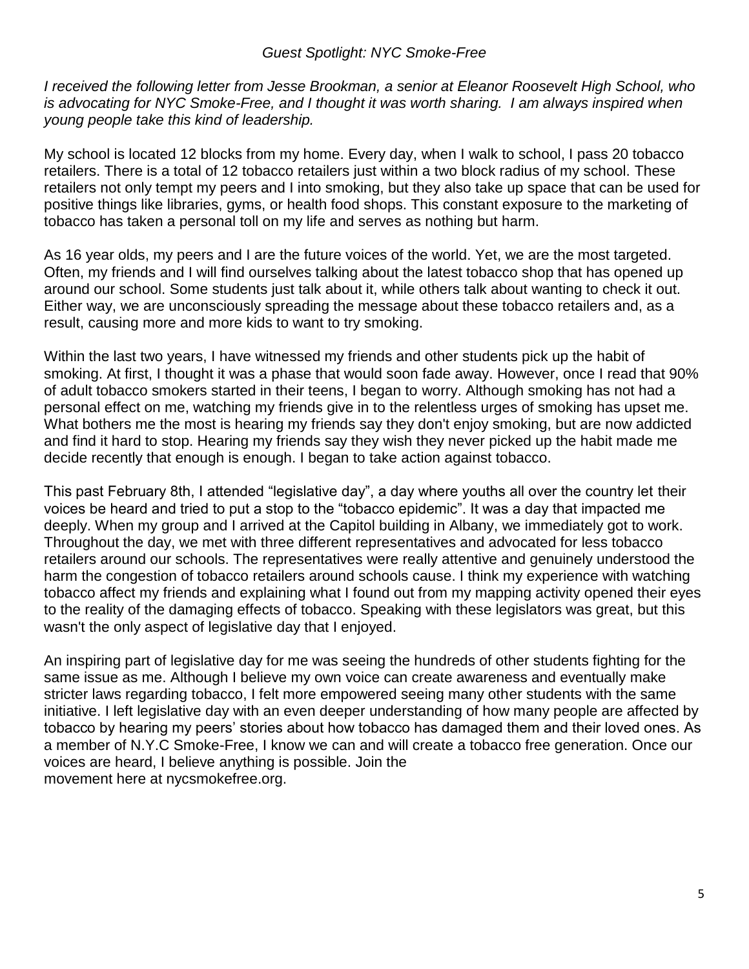#### *Guest Spotlight: NYC Smoke-Free*

*I received the following letter from Jesse Brookman, a senior at Eleanor Roosevelt High School, who is advocating for NYC Smoke-Free, and I thought it was worth sharing. I am always inspired when young people take this kind of leadership.*

My school is located 12 blocks from my home. Every day, when I walk to school, I pass 20 tobacco retailers. There is a total of 12 tobacco retailers just within a two block radius of my school. These retailers not only tempt my peers and I into smoking, but they also take up space that can be used for positive things like libraries, gyms, or health food shops. This constant exposure to the marketing of tobacco has taken a personal toll on my life and serves as nothing but harm.

As 16 year olds, my peers and I are the future voices of the world. Yet, we are the most targeted. Often, my friends and I will find ourselves talking about the latest tobacco shop that has opened up around our school. Some students just talk about it, while others talk about wanting to check it out. Either way, we are unconsciously spreading the message about these tobacco retailers and, as a result, causing more and more kids to want to try smoking.

Within the last two years, I have witnessed my friends and other students pick up the habit of smoking. At first, I thought it was a phase that would soon fade away. However, once I read that 90% of adult tobacco smokers started in their teens, I began to worry. Although smoking has not had a personal effect on me, watching my friends give in to the relentless urges of smoking has upset me. What bothers me the most is hearing my friends say they don't enjoy smoking, but are now addicted and find it hard to stop. Hearing my friends say they wish they never picked up the habit made me decide recently that enough is enough. I began to take action against tobacco.

This past February 8th, I attended "legislative day", a day where youths all over the country let their voices be heard and tried to put a stop to the "tobacco epidemic". It was a day that impacted me deeply. When my group and I arrived at the Capitol building in Albany, we immediately got to work. Throughout the day, we met with three different representatives and advocated for less tobacco retailers around our schools. The representatives were really attentive and genuinely understood the harm the congestion of tobacco retailers around schools cause. I think my experience with watching tobacco affect my friends and explaining what I found out from my mapping activity opened their eyes to the reality of the damaging effects of tobacco. Speaking with these legislators was great, but this wasn't the only aspect of legislative day that I enjoyed.

An inspiring part of legislative day for me was seeing the hundreds of other students fighting for the same issue as me. Although I believe my own voice can create awareness and eventually make stricter laws regarding tobacco, I felt more empowered seeing many other students with the same initiative. I left legislative day with an even deeper understanding of how many people are affected by tobacco by hearing my peers' stories about how tobacco has damaged them and their loved ones. As a member of N.Y.C Smoke-Free, I know we can and will create a tobacco free generation. Once our voices are heard, I believe anything is possible. Join the movement here at nycsmokefree.org.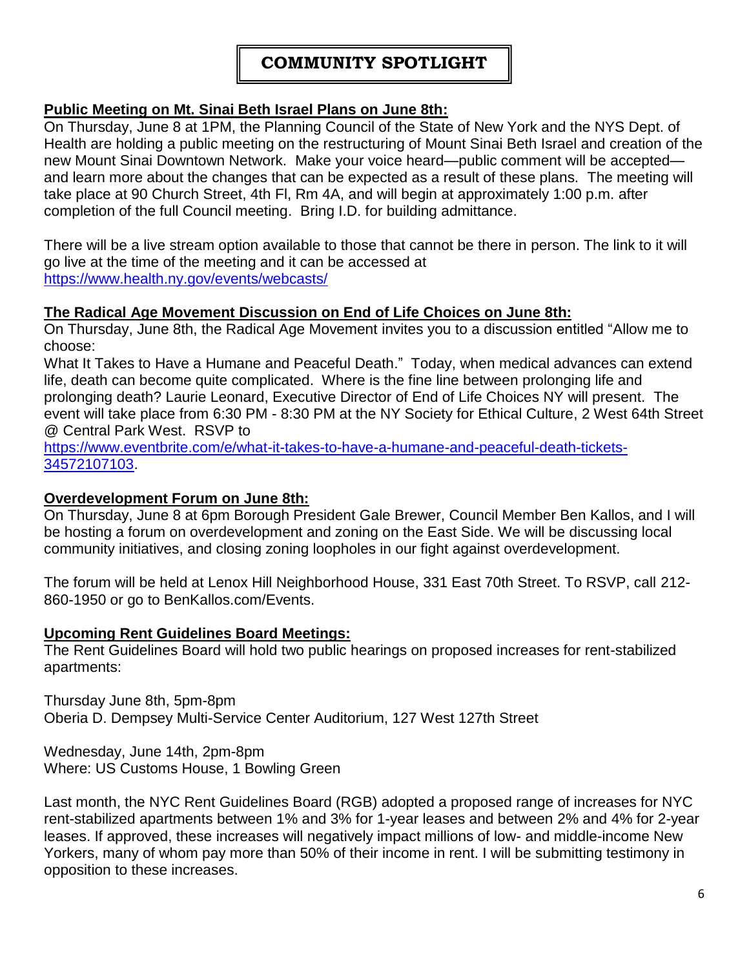# **COMMUNITY SPOTLIGHT**

#### **Public Meeting on Mt. Sinai Beth Israel Plans on June 8th:**

On Thursday, June 8 at 1PM, the Planning Council of the State of New York and the NYS Dept. of Health are holding a public meeting on the restructuring of Mount Sinai Beth Israel and creation of the new Mount Sinai Downtown Network. Make your voice heard—public comment will be accepted and learn more about the changes that can be expected as a result of these plans. The meeting will take place at 90 Church Street, 4th Fl, Rm 4A, and will begin at approximately 1:00 p.m. after completion of the full Council meeting. Bring I.D. for building admittance.

There will be a live stream option available to those that cannot be there in person. The link to it will go live at the time of the meeting and it can be accessed at <https://www.health.ny.gov/events/webcasts/>

#### **The Radical Age Movement Discussion on End of Life Choices on June 8th:**

On Thursday, June 8th, the Radical Age Movement invites you to a discussion entitled "Allow me to choose:

What It Takes to Have a Humane and Peaceful Death." Today, when medical advances can extend life, death can become quite complicated. Where is the fine line between prolonging life and prolonging death? Laurie Leonard, Executive Director of End of Life Choices NY will present. The event will take place from 6:30 PM - 8:30 PM at the NY Society for Ethical Culture, 2 West 64th Street @ Central Park West. RSVP to

[https://www.eventbrite.com/e/what-it-takes-to-have-a-humane-and-peaceful-death-tickets-](https://www.eventbrite.com/e/what-it-takes-to-have-a-humane-and-peaceful-death-tickets-34572107103)[34572107103.](https://www.eventbrite.com/e/what-it-takes-to-have-a-humane-and-peaceful-death-tickets-34572107103)

#### **Overdevelopment Forum on June 8th:**

On Thursday, June 8 at 6pm Borough President Gale Brewer, Council Member Ben Kallos, and I will be hosting a forum on overdevelopment and zoning on the East Side. We will be discussing local community initiatives, and closing zoning loopholes in our fight against overdevelopment.

The forum will be held at Lenox Hill Neighborhood House, 331 East 70th Street. To RSVP, call 212- 860-1950 or go to BenKallos.com/Events.

#### **Upcoming Rent Guidelines Board Meetings:**

The Rent Guidelines Board will hold two public hearings on proposed increases for rent-stabilized apartments:

Thursday June 8th, 5pm-8pm Oberia D. Dempsey Multi-Service Center Auditorium, 127 West 127th Street

Wednesday, June 14th, 2pm-8pm Where: US Customs House, 1 Bowling Green

Last month, the NYC Rent Guidelines Board (RGB) adopted a proposed range of increases for NYC rent-stabilized apartments between 1% and 3% for 1-year leases and between 2% and 4% for 2-year leases. If approved, these increases will negatively impact millions of low- and middle-income New Yorkers, many of whom pay more than 50% of their income in rent. I will be submitting testimony in opposition to these increases.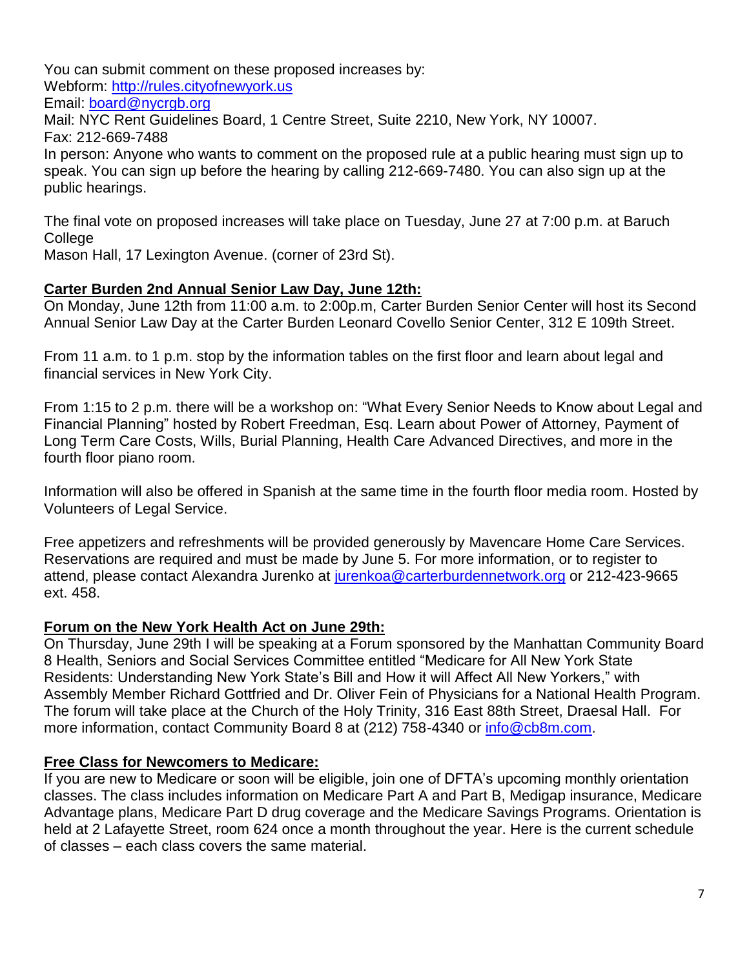You can submit comment on these proposed increases by:

Webform: [http://rules.cityofnewyork.us](http://rules.cityofnewyork.us/)

Email: [board@nycrgb.org](mailto:board@nycrgb.org)

Mail: NYC Rent Guidelines Board, 1 Centre Street, Suite 2210, New York, NY 10007. Fax: 212-669-7488

In person: Anyone who wants to comment on the proposed rule at a public hearing must sign up to speak. You can sign up before the hearing by calling 212-669-7480. You can also sign up at the public hearings.

The final vote on proposed increases will take place on Tuesday, June 27 at 7:00 p.m. at Baruch **College** 

Mason Hall, 17 Lexington Avenue. (corner of 23rd St).

#### **Carter Burden 2nd Annual Senior Law Day, June 12th:**

On Monday, June 12th from 11:00 a.m. to 2:00p.m, Carter Burden Senior Center will host its Second Annual Senior Law Day at the Carter Burden Leonard Covello Senior Center, 312 E 109th Street.

From 11 a.m. to 1 p.m. stop by the information tables on the first floor and learn about legal and financial services in New York City.

From 1:15 to 2 p.m. there will be a workshop on: "What Every Senior Needs to Know about Legal and Financial Planning" hosted by Robert Freedman, Esq. Learn about Power of Attorney, Payment of Long Term Care Costs, Wills, Burial Planning, Health Care Advanced Directives, and more in the fourth floor piano room.

Information will also be offered in Spanish at the same time in the fourth floor media room. Hosted by Volunteers of Legal Service.

Free appetizers and refreshments will be provided generously by Mavencare Home Care Services. Reservations are required and must be made by June 5. For more information, or to register to attend, please contact Alexandra Jurenko at [jurenkoa@carterburdennetwork.org](mailto:jurenkoa@carterburdennetwork.org) or 212-423-9665 ext. 458.

# **Forum on the New York Health Act on June 29th:**

On Thursday, June 29th I will be speaking at a Forum sponsored by the Manhattan Community Board 8 Health, Seniors and Social Services Committee entitled "Medicare for All New York State Residents: Understanding New York State's Bill and How it will Affect All New Yorkers," with Assembly Member Richard Gottfried and Dr. Oliver Fein of Physicians for a National Health Program. The forum will take place at the Church of the Holy Trinity, 316 East 88th Street, Draesal Hall. For more information, contact Community Board 8 at (212) 758-4340 or [info@cb8m.com.](mailto:info@cb8m.com)

# **Free Class for Newcomers to Medicare:**

If you are new to Medicare or soon will be eligible, join one of DFTA's upcoming monthly orientation classes. The class includes information on Medicare Part A and Part B, Medigap insurance, Medicare Advantage plans, Medicare Part D drug coverage and the Medicare Savings Programs. Orientation is held at 2 Lafayette Street, room 624 once a month throughout the year. Here is the current schedule of classes – each class covers the same material.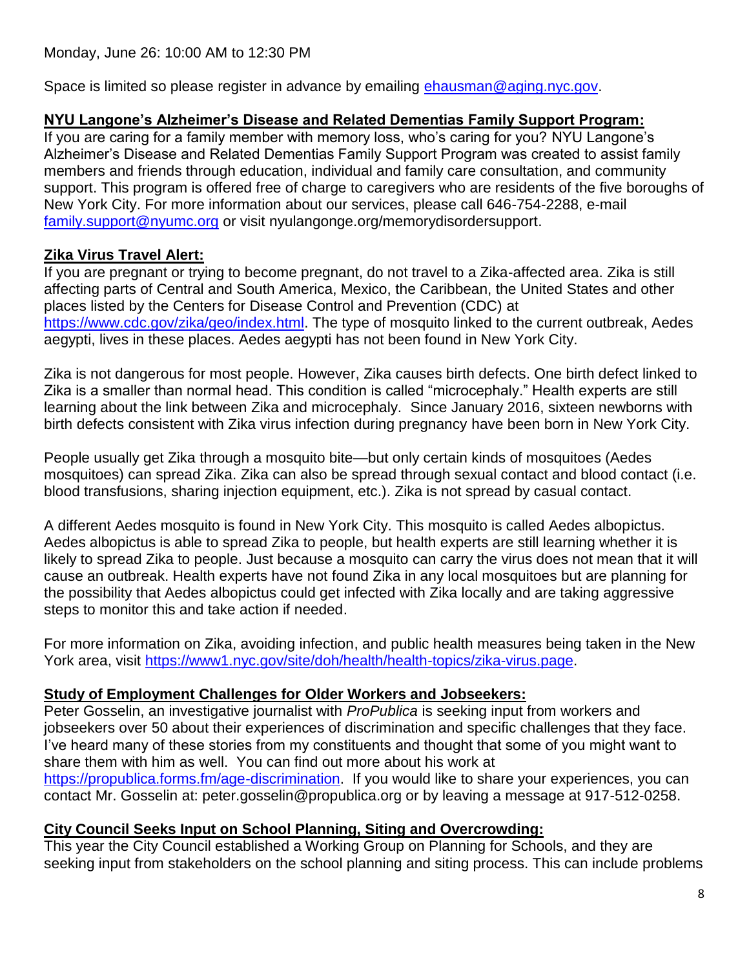Space is limited so please register in advance by emailing [ehausman@aging.nyc.gov.](mailto:ehausman@aging.nyc.gov)

# **NYU Langone's Alzheimer's Disease and Related Dementias Family Support Program:**

If you are caring for a family member with memory loss, who's caring for you? NYU Langone's Alzheimer's Disease and Related Dementias Family Support Program was created to assist family members and friends through education, individual and family care consultation, and community support. This program is offered free of charge to caregivers who are residents of the five boroughs of New York City. For more information about our services, please call 646-754-2288, e-mail [family.support@nyumc.org](mailto:family.support@nyumc.org) or visit nyulangonge.org/memorydisordersupport.

# **Zika Virus Travel Alert:**

If you are pregnant or trying to become pregnant, do not travel to a Zika-affected area. Zika is still affecting parts of Central and South America, Mexico, the Caribbean, the United States and other places listed by the Centers for Disease Control and Prevention (CDC) at [https://www.cdc.gov/zika/geo/index.html.](https://www.cdc.gov/zika/geo/index.html) The type of mosquito linked to the current outbreak, Aedes aegypti, lives in these places. Aedes aegypti has not been found in New York City.

Zika is not dangerous for most people. However, Zika causes birth defects. One birth defect linked to Zika is a smaller than normal head. This condition is called "microcephaly." Health experts are still learning about the link between Zika and microcephaly. Since January 2016, sixteen newborns with birth defects consistent with Zika virus infection during pregnancy have been born in New York City.

People usually get Zika through a mosquito bite—but only certain kinds of mosquitoes (Aedes mosquitoes) can spread Zika. Zika can also be spread through sexual contact and blood contact (i.e. blood transfusions, sharing injection equipment, etc.). Zika is not spread by casual contact.

A different Aedes mosquito is found in New York City. This mosquito is called Aedes albopictus. Aedes albopictus is able to spread Zika to people, but health experts are still learning whether it is likely to spread Zika to people. Just because a mosquito can carry the virus does not mean that it will cause an outbreak. Health experts have not found Zika in any local mosquitoes but are planning for the possibility that Aedes albopictus could get infected with Zika locally and are taking aggressive steps to monitor this and take action if needed.

For more information on Zika, avoiding infection, and public health measures being taken in the New York area, visit [https://www1.nyc.gov/site/doh/health/health-topics/zika-virus.page.](https://www1.nyc.gov/site/doh/health/health-topics/zika-virus.page)

# **Study of Employment Challenges for Older Workers and Jobseekers:**

Peter Gosselin, an investigative journalist with *ProPublica* is seeking input from workers and jobseekers over 50 about their experiences of discrimination and specific challenges that they face. I've heard many of these stories from my constituents and thought that some of you might want to share them with him as well. You can find out more about his work at [https://propublica.forms.fm/age-discrimination.](https://propublica.forms.fm/age-discrimination) If you would like to share your experiences, you can contact Mr. Gosselin at: peter.gosselin@propublica.org or by leaving a message at 917-512-0258.

# **City Council Seeks Input on School Planning, Siting and Overcrowding:**

This year the City Council established a Working Group on Planning for Schools, and they are seeking input from stakeholders on the school planning and siting process. This can include problems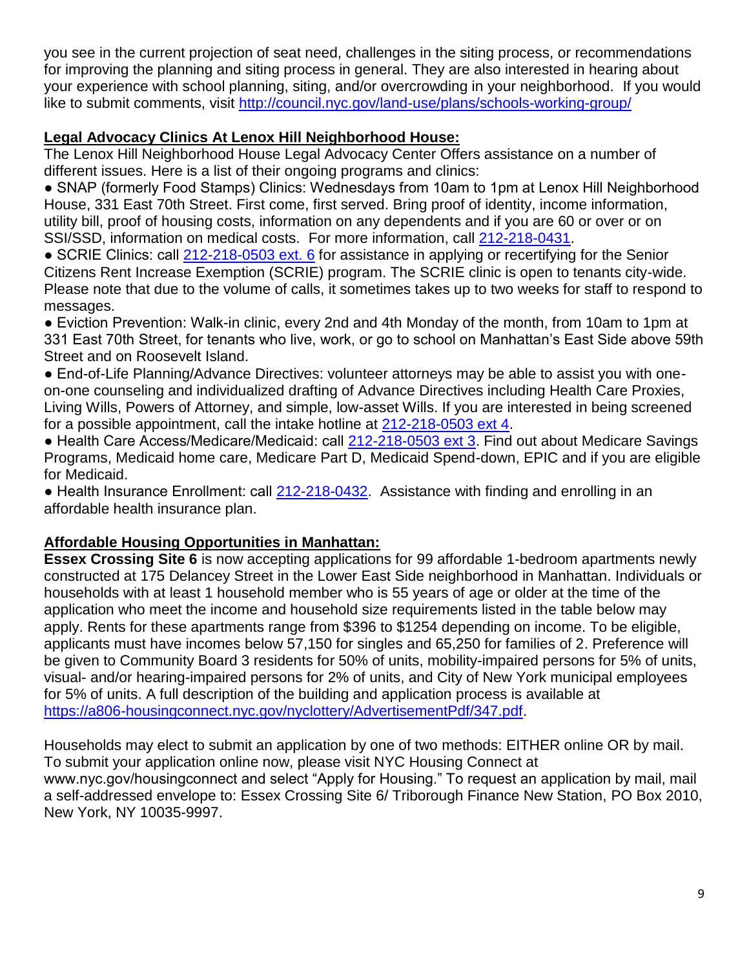you see in the current projection of seat need, challenges in the siting process, or recommendations for improving the planning and siting process in general. They are also interested in hearing about your experience with school planning, siting, and/or overcrowding in your neighborhood. If you would like to submit comments, visit<http://council.nyc.gov/land-use/plans/schools-working-group/>

# **Legal Advocacy Clinics At Lenox Hill Neighborhood House:**

The Lenox Hill Neighborhood House Legal Advocacy Center Offers assistance on a number of different issues. Here is a list of their ongoing programs and clinics:

● SNAP (formerly Food Stamps) Clinics: Wednesdays from 10am to 1pm at Lenox Hill Neighborhood House, 331 East 70th Street. First come, first served. Bring proof of identity, income information, utility bill, proof of housing costs, information on any dependents and if you are 60 or over or on SSI/SSD, information on medical costs. For more information, call [212-218-0431.](tel:212-218-0431)

● SCRIE Clinics: call [212-218-0503 ext. 6](tel:212-218-0503%20ext.%206) for assistance in applying or recertifying for the Senior Citizens Rent Increase Exemption (SCRIE) program. The SCRIE clinic is open to tenants city-wide. Please note that due to the volume of calls, it sometimes takes up to two weeks for staff to respond to messages.

● Eviction Prevention: Walk-in clinic, every 2nd and 4th Monday of the month, from 10am to 1pm at 331 East 70th Street, for tenants who live, work, or go to school on Manhattan's East Side above 59th Street and on Roosevelt Island.

● End-of-Life Planning/Advance Directives: volunteer attorneys may be able to assist you with oneon-one counseling and individualized drafting of Advance Directives including Health Care Proxies, Living Wills, Powers of Attorney, and simple, low-asset Wills. If you are interested in being screened for a possible appointment, call the intake hotline at [212-218-0503 ext 4.](tel:212-218-0503%20ext%204)

● Health Care Access/Medicare/Medicaid: call [212-218-0503 ext 3.](tel:212-218-0503%20ext%203) Find out about Medicare Savings Programs, Medicaid home care, Medicare Part D, Medicaid Spend-down, EPIC and if you are eligible for Medicaid.

● Health Insurance Enrollment: call [212-218-0432.](tel:212-218-0432) Assistance with finding and enrolling in an affordable health insurance plan.

# **Affordable Housing Opportunities in Manhattan:**

**Essex Crossing Site 6** is now accepting applications for 99 affordable 1-bedroom apartments newly constructed at 175 Delancey Street in the Lower East Side neighborhood in Manhattan. Individuals or households with at least 1 household member who is 55 years of age or older at the time of the application who meet the income and household size requirements listed in the table below may apply. Rents for these apartments range from \$396 to \$1254 depending on income. To be eligible, applicants must have incomes below 57,150 for singles and 65,250 for families of 2. Preference will be given to Community Board 3 residents for 50% of units, mobility-impaired persons for 5% of units, visual- and/or hearing-impaired persons for 2% of units, and City of New York municipal employees for 5% of units. A full description of the building and application process is available at [https://a806-housingconnect.nyc.gov/nyclottery/AdvertisementPdf/347.pdf.](https://a806-housingconnect.nyc.gov/nyclottery/AdvertisementPdf/347.pdf)

Households may elect to submit an application by one of two methods: EITHER online OR by mail. To submit your application online now, please visit NYC Housing Connect at www.nyc.gov/housingconnect and select "Apply for Housing." To request an application by mail, mail a self-addressed envelope to: Essex Crossing Site 6/ Triborough Finance New Station, PO Box 2010, New York, NY 10035-9997.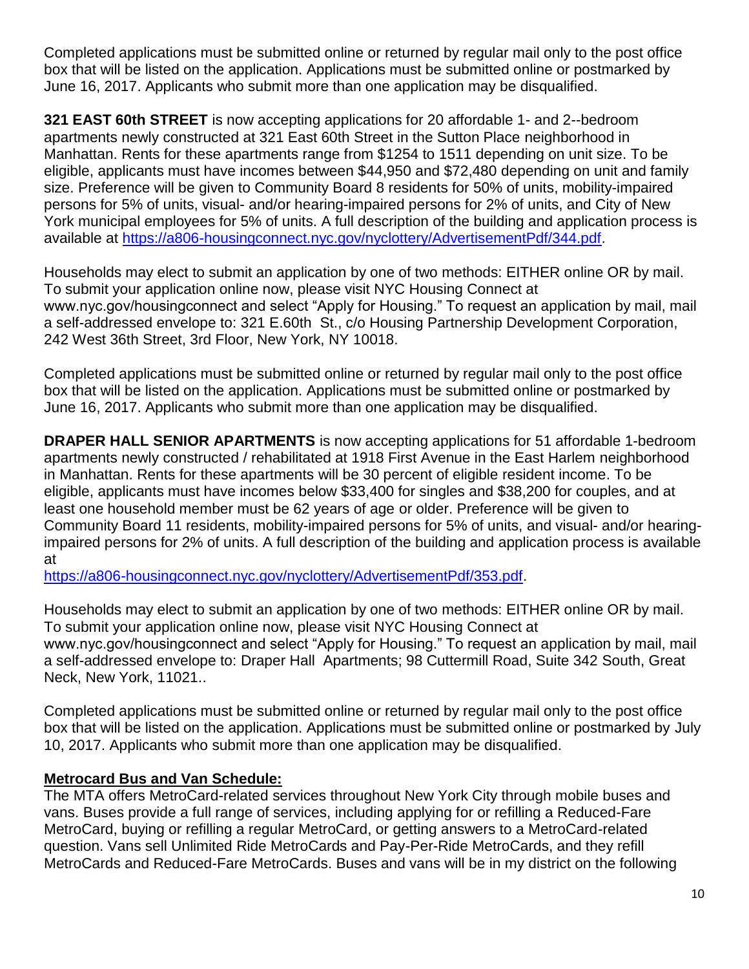Completed applications must be submitted online or returned by regular mail only to the post office box that will be listed on the application. Applications must be submitted online or postmarked by June 16, 2017. Applicants who submit more than one application may be disqualified.

**321 EAST 60th STREET** is now accepting applications for 20 affordable 1- and 2--bedroom apartments newly constructed at 321 East 60th Street in the Sutton Place neighborhood in Manhattan. Rents for these apartments range from \$1254 to 1511 depending on unit size. To be eligible, applicants must have incomes between \$44,950 and \$72,480 depending on unit and family size. Preference will be given to Community Board 8 residents for 50% of units, mobility-impaired persons for 5% of units, visual- and/or hearing-impaired persons for 2% of units, and City of New York municipal employees for 5% of units. A full description of the building and application process is available at [https://a806-housingconnect.nyc.gov/nyclottery/AdvertisementPdf/344.pdf.](https://a806-housingconnect.nyc.gov/nyclottery/AdvertisementPdf/344.pdf)

Households may elect to submit an application by one of two methods: EITHER online OR by mail. To submit your application online now, please visit NYC Housing Connect at www.nyc.gov/housingconnect and select "Apply for Housing." To request an application by mail, mail a self-addressed envelope to: 321 E.60th St., c/o Housing Partnership Development Corporation, 242 West 36th Street, 3rd Floor, New York, NY 10018.

Completed applications must be submitted online or returned by regular mail only to the post office box that will be listed on the application. Applications must be submitted online or postmarked by June 16, 2017. Applicants who submit more than one application may be disqualified.

**DRAPER HALL SENIOR APARTMENTS** is now accepting applications for 51 affordable 1-bedroom apartments newly constructed / rehabilitated at 1918 First Avenue in the East Harlem neighborhood in Manhattan. Rents for these apartments will be 30 percent of eligible resident income. To be eligible, applicants must have incomes below \$33,400 for singles and \$38,200 for couples, and at least one household member must be 62 years of age or older. Preference will be given to Community Board 11 residents, mobility-impaired persons for 5% of units, and visual- and/or hearingimpaired persons for 2% of units. A full description of the building and application process is available at

[https://a806-housingconnect.nyc.gov/nyclottery/AdvertisementPdf/353.pdf.](https://a806-housingconnect.nyc.gov/nyclottery/AdvertisementPdf/353.pdf)

Households may elect to submit an application by one of two methods: EITHER online OR by mail. To submit your application online now, please visit NYC Housing Connect at www.nyc.gov/housingconnect and select "Apply for Housing." To request an application by mail, mail a self-addressed envelope to: Draper Hall Apartments; 98 Cuttermill Road, Suite 342 South, Great Neck, New York, 11021..

Completed applications must be submitted online or returned by regular mail only to the post office box that will be listed on the application. Applications must be submitted online or postmarked by July 10, 2017. Applicants who submit more than one application may be disqualified.

# **Metrocard Bus and Van Schedule:**

The MTA offers MetroCard-related services throughout New York City through mobile buses and vans. Buses provide a full range of services, including applying for or refilling a Reduced-Fare MetroCard, buying or refilling a regular MetroCard, or getting answers to a MetroCard-related question. Vans sell Unlimited Ride MetroCards and Pay-Per-Ride MetroCards, and they refill MetroCards and Reduced-Fare MetroCards. Buses and vans will be in my district on the following